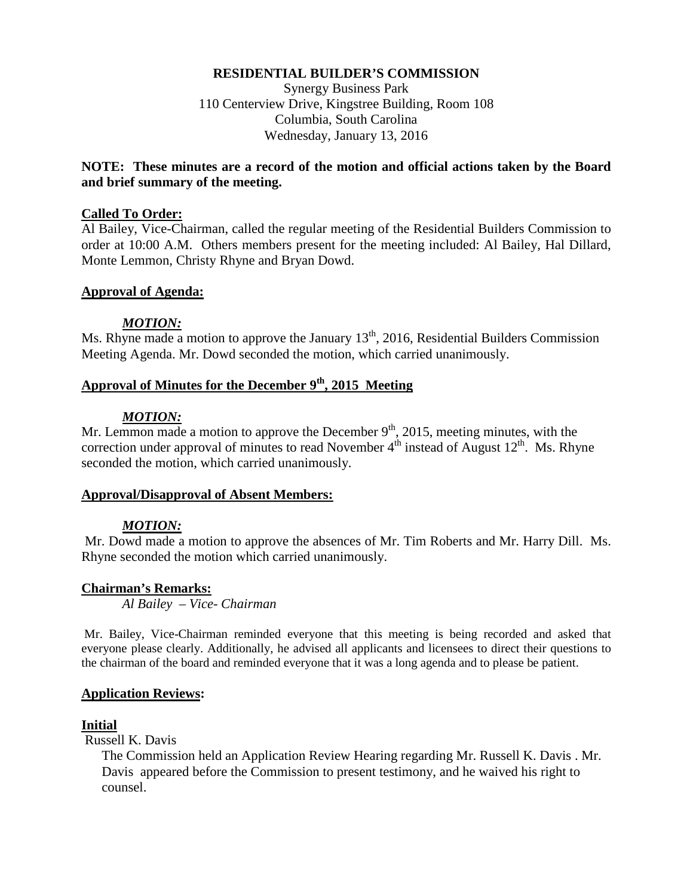#### **RESIDENTIAL BUILDER'S COMMISSION**

Synergy Business Park 110 Centerview Drive, Kingstree Building, Room 108 Columbia, South Carolina Wednesday, January 13, 2016

### **NOTE: These minutes are a record of the motion and official actions taken by the Board and brief summary of the meeting.**

#### **Called To Order:**

Al Bailey, Vice-Chairman, called the regular meeting of the Residential Builders Commission to order at 10:00 A.M. Others members present for the meeting included: Al Bailey, Hal Dillard, Monte Lemmon, Christy Rhyne and Bryan Dowd.

#### **Approval of Agenda:**

#### *MOTION:*

Ms. Rhyne made a motion to approve the January  $13<sup>th</sup>$ , 2016, Residential Builders Commission Meeting Agenda. Mr. Dowd seconded the motion, which carried unanimously.

# **Approval of Minutes for the December 9th, 2015 Meeting**

### *MOTION:*

Mr. Lemmon made a motion to approve the December  $9<sup>th</sup>$ , 2015, meeting minutes, with the correction under approval of minutes to read November  $4<sup>th</sup>$  instead of August  $12<sup>th</sup>$ . Ms. Rhyne seconded the motion, which carried unanimously.

#### **Approval/Disapproval of Absent Members:**

### *MOTION:*

Mr. Dowd made a motion to approve the absences of Mr. Tim Roberts and Mr. Harry Dill. Ms. Rhyne seconded the motion which carried unanimously.

### **Chairman's Remarks:**

*Al Bailey – Vice- Chairman*

Mr. Bailey, Vice-Chairman reminded everyone that this meeting is being recorded and asked that everyone please clearly. Additionally, he advised all applicants and licensees to direct their questions to the chairman of the board and reminded everyone that it was a long agenda and to please be patient.

### **Application Reviews:**

### **Initial**

Russell K. Davis

The Commission held an Application Review Hearing regarding Mr. Russell K. Davis . Mr. Davis appeared before the Commission to present testimony, and he waived his right to counsel.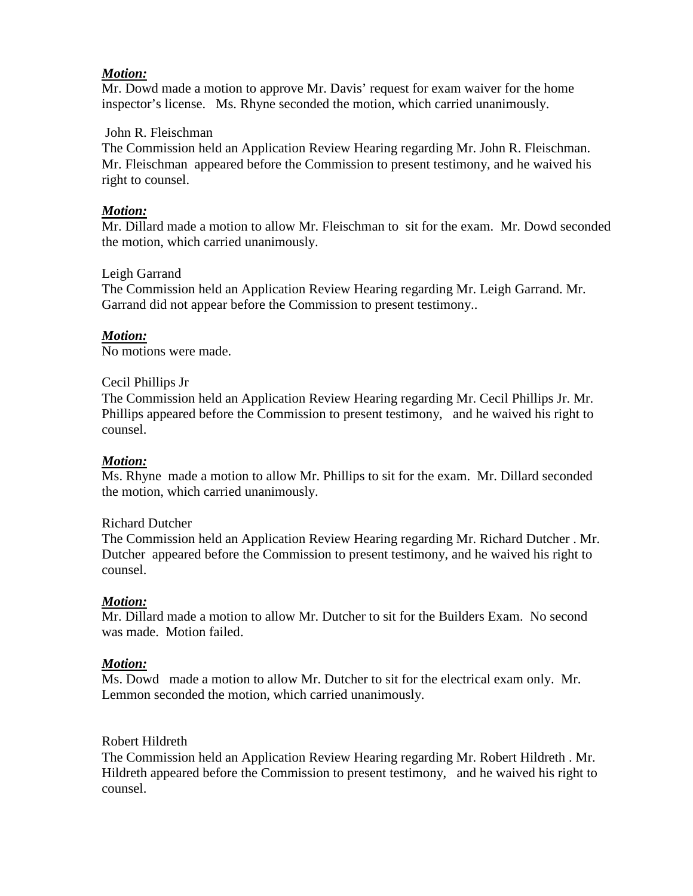### *Motion:*

Mr. Dowd made a motion to approve Mr. Davis' request for exam waiver for the home inspector's license. Ms. Rhyne seconded the motion, which carried unanimously.

### John R. Fleischman

The Commission held an Application Review Hearing regarding Mr. John R. Fleischman. Mr. Fleischman appeared before the Commission to present testimony, and he waived his right to counsel.

### *Motion:*

Mr. Dillard made a motion to allow Mr. Fleischman to sit for the exam. Mr. Dowd seconded the motion, which carried unanimously.

### Leigh Garrand

The Commission held an Application Review Hearing regarding Mr. Leigh Garrand. Mr. Garrand did not appear before the Commission to present testimony..

### *Motion:*

No motions were made.

### Cecil Phillips Jr

The Commission held an Application Review Hearing regarding Mr. Cecil Phillips Jr. Mr. Phillips appeared before the Commission to present testimony, and he waived his right to counsel.

### *Motion:*

Ms. Rhyne made a motion to allow Mr. Phillips to sit for the exam. Mr. Dillard seconded the motion, which carried unanimously.

### Richard Dutcher

The Commission held an Application Review Hearing regarding Mr. Richard Dutcher . Mr. Dutcher appeared before the Commission to present testimony, and he waived his right to counsel.

### *Motion:*

Mr. Dillard made a motion to allow Mr. Dutcher to sit for the Builders Exam. No second was made. Motion failed.

### *Motion:*

Ms. Dowd made a motion to allow Mr. Dutcher to sit for the electrical exam only. Mr. Lemmon seconded the motion, which carried unanimously.

### Robert Hildreth

The Commission held an Application Review Hearing regarding Mr. Robert Hildreth . Mr. Hildreth appeared before the Commission to present testimony, and he waived his right to counsel.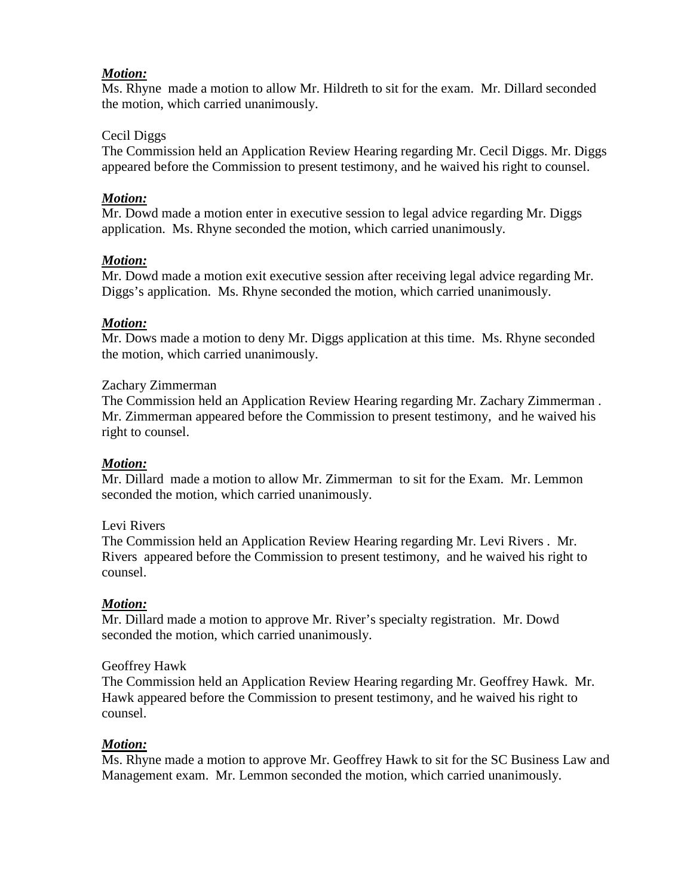## *Motion:*

Ms. Rhyne made a motion to allow Mr. Hildreth to sit for the exam. Mr. Dillard seconded the motion, which carried unanimously.

### Cecil Diggs

The Commission held an Application Review Hearing regarding Mr. Cecil Diggs. Mr. Diggs appeared before the Commission to present testimony, and he waived his right to counsel.

## *Motion:*

Mr. Dowd made a motion enter in executive session to legal advice regarding Mr. Diggs application. Ms. Rhyne seconded the motion, which carried unanimously.

## *Motion:*

Mr. Dowd made a motion exit executive session after receiving legal advice regarding Mr. Diggs's application. Ms. Rhyne seconded the motion, which carried unanimously.

## *Motion:*

Mr. Dows made a motion to deny Mr. Diggs application at this time. Ms. Rhyne seconded the motion, which carried unanimously.

### Zachary Zimmerman

The Commission held an Application Review Hearing regarding Mr. Zachary Zimmerman . Mr. Zimmerman appeared before the Commission to present testimony, and he waived his right to counsel.

## *Motion:*

Mr. Dillard made a motion to allow Mr. Zimmerman to sit for the Exam. Mr. Lemmon seconded the motion, which carried unanimously.

## Levi Rivers

The Commission held an Application Review Hearing regarding Mr. Levi Rivers . Mr. Rivers appeared before the Commission to present testimony, and he waived his right to counsel.

## *Motion:*

Mr. Dillard made a motion to approve Mr. River's specialty registration. Mr. Dowd seconded the motion, which carried unanimously.

### Geoffrey Hawk

The Commission held an Application Review Hearing regarding Mr. Geoffrey Hawk. Mr. Hawk appeared before the Commission to present testimony, and he waived his right to counsel.

## *Motion:*

Ms. Rhyne made a motion to approve Mr. Geoffrey Hawk to sit for the SC Business Law and Management exam. Mr. Lemmon seconded the motion, which carried unanimously.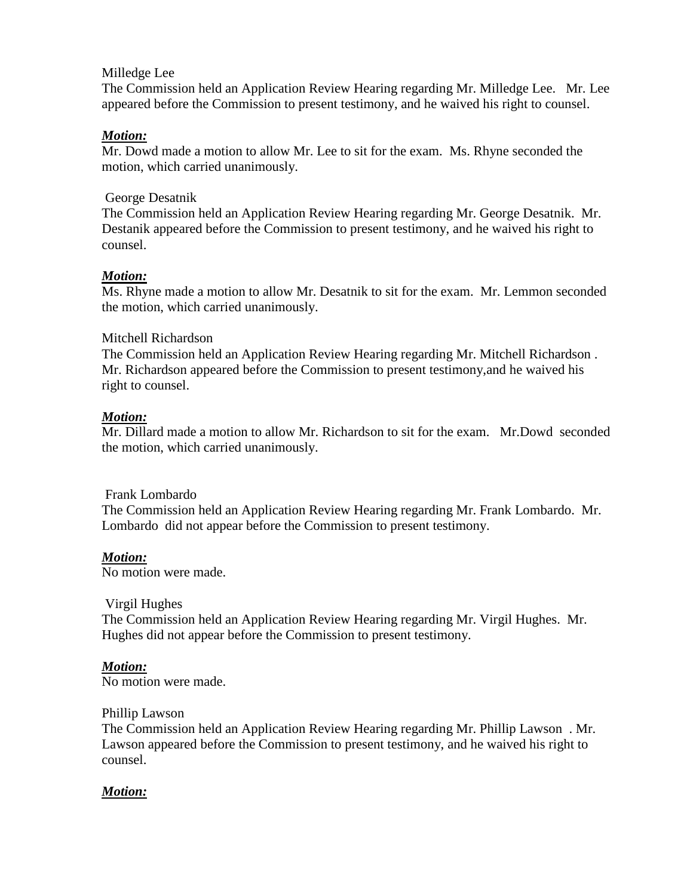### Milledge Lee

The Commission held an Application Review Hearing regarding Mr. Milledge Lee. Mr. Lee appeared before the Commission to present testimony, and he waived his right to counsel.

### *Motion:*

Mr. Dowd made a motion to allow Mr. Lee to sit for the exam. Ms. Rhyne seconded the motion, which carried unanimously.

### George Desatnik

The Commission held an Application Review Hearing regarding Mr. George Desatnik. Mr. Destanik appeared before the Commission to present testimony, and he waived his right to counsel.

### *Motion:*

Ms. Rhyne made a motion to allow Mr. Desatnik to sit for the exam. Mr. Lemmon seconded the motion, which carried unanimously.

### Mitchell Richardson

The Commission held an Application Review Hearing regarding Mr. Mitchell Richardson . Mr. Richardson appeared before the Commission to present testimony,and he waived his right to counsel.

### *Motion:*

Mr. Dillard made a motion to allow Mr. Richardson to sit for the exam. Mr.Dowd seconded the motion, which carried unanimously.

### Frank Lombardo

The Commission held an Application Review Hearing regarding Mr. Frank Lombardo. Mr. Lombardo did not appear before the Commission to present testimony.

## *Motion:*

No motion were made.

### Virgil Hughes

The Commission held an Application Review Hearing regarding Mr. Virgil Hughes. Mr. Hughes did not appear before the Commission to present testimony.

### *Motion:*

No motion were made.

### Phillip Lawson

The Commission held an Application Review Hearing regarding Mr. Phillip Lawson . Mr. Lawson appeared before the Commission to present testimony, and he waived his right to counsel.

### *Motion:*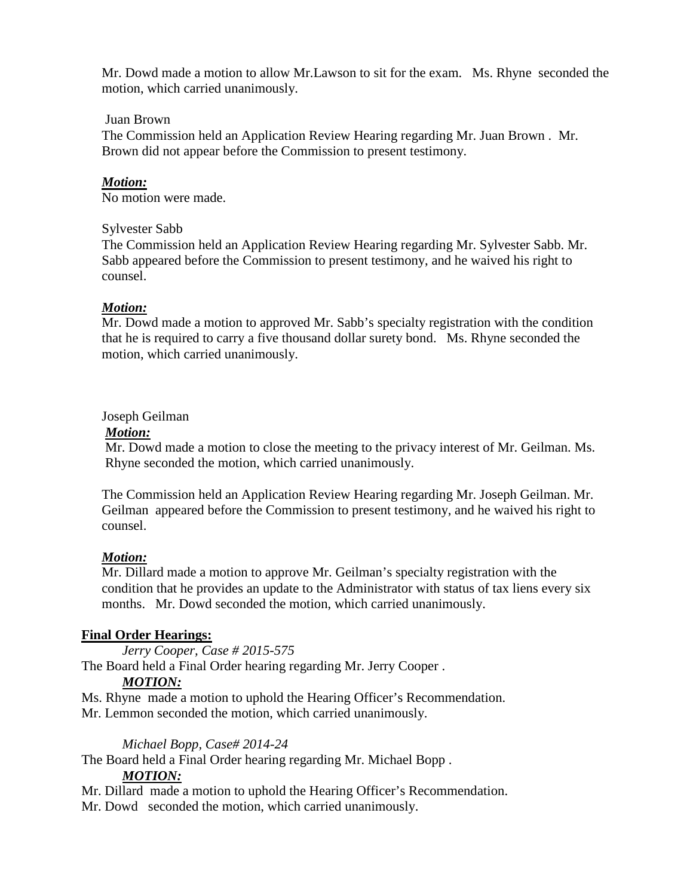Mr. Dowd made a motion to allow Mr.Lawson to sit for the exam. Ms. Rhyne seconded the motion, which carried unanimously.

### Juan Brown

The Commission held an Application Review Hearing regarding Mr. Juan Brown . Mr. Brown did not appear before the Commission to present testimony.

### *Motion:*

No motion were made.

### Sylvester Sabb

The Commission held an Application Review Hearing regarding Mr. Sylvester Sabb. Mr. Sabb appeared before the Commission to present testimony, and he waived his right to counsel.

### *Motion:*

Mr. Dowd made a motion to approved Mr. Sabb's specialty registration with the condition that he is required to carry a five thousand dollar surety bond. Ms. Rhyne seconded the motion, which carried unanimously.

### Joseph Geilman

### *Motion:*

 Mr. Dowd made a motion to close the meeting to the privacy interest of Mr. Geilman. Ms. Rhyne seconded the motion, which carried unanimously.

The Commission held an Application Review Hearing regarding Mr. Joseph Geilman. Mr. Geilman appeared before the Commission to present testimony, and he waived his right to counsel.

## *Motion:*

Mr. Dillard made a motion to approve Mr. Geilman's specialty registration with the condition that he provides an update to the Administrator with status of tax liens every six months. Mr. Dowd seconded the motion, which carried unanimously.

## **Final Order Hearings:**

*Jerry Cooper, Case # 2015-575*

The Board held a Final Order hearing regarding Mr. Jerry Cooper .

## *MOTION:*

Ms. Rhyne made a motion to uphold the Hearing Officer's Recommendation. Mr. Lemmon seconded the motion, which carried unanimously.

### *Michael Bopp, Case# 2014-24*

The Board held a Final Order hearing regarding Mr. Michael Bopp .

### *MOTION:*

Mr. Dillard made a motion to uphold the Hearing Officer's Recommendation.

Mr. Dowd seconded the motion, which carried unanimously.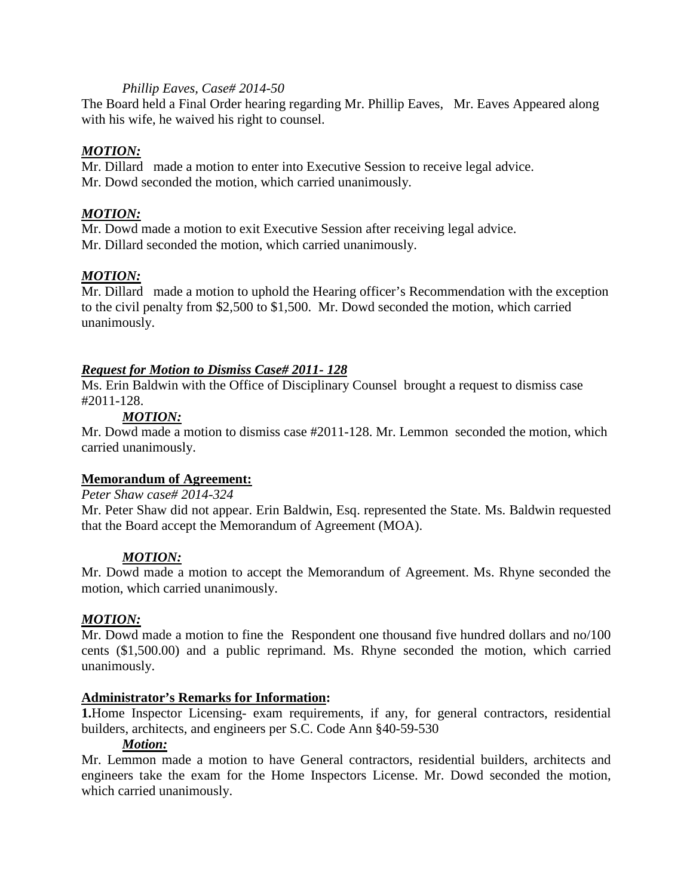### *Phillip Eaves, Case# 2014-50*

The Board held a Final Order hearing regarding Mr. Phillip Eaves, Mr. Eaves Appeared along with his wife, he waived his right to counsel.

## *MOTION:*

Mr. Dillard made a motion to enter into Executive Session to receive legal advice. Mr. Dowd seconded the motion, which carried unanimously.

### *MOTION:*

Mr. Dowd made a motion to exit Executive Session after receiving legal advice. Mr. Dillard seconded the motion, which carried unanimously.

### *MOTION:*

Mr. Dillard made a motion to uphold the Hearing officer's Recommendation with the exception to the civil penalty from \$2,500 to \$1,500. Mr. Dowd seconded the motion, which carried unanimously.

## *Request for Motion to Dismiss Case# 2011- 128*

Ms. Erin Baldwin with the Office of Disciplinary Counsel brought a request to dismiss case #2011-128.

## *MOTION:*

Mr. Dowd made a motion to dismiss case #2011-128. Mr. Lemmon seconded the motion, which carried unanimously.

### **Memorandum of Agreement:**

#### *Peter Shaw case# 2014-324*

Mr. Peter Shaw did not appear. Erin Baldwin, Esq. represented the State. Ms. Baldwin requested that the Board accept the Memorandum of Agreement (MOA).

### *MOTION:*

Mr. Dowd made a motion to accept the Memorandum of Agreement. Ms. Rhyne seconded the motion, which carried unanimously.

### *MOTION:*

Mr. Dowd made a motion to fine the Respondent one thousand five hundred dollars and no/100 cents (\$1,500.00) and a public reprimand. Ms. Rhyne seconded the motion, which carried unanimously.

### **Administrator's Remarks for Information:**

**1.**Home Inspector Licensing- exam requirements, if any, for general contractors, residential builders, architects, and engineers per S.C. Code Ann §40-59-530

### *Motion:*

Mr. Lemmon made a motion to have General contractors, residential builders, architects and engineers take the exam for the Home Inspectors License. Mr. Dowd seconded the motion, which carried unanimously.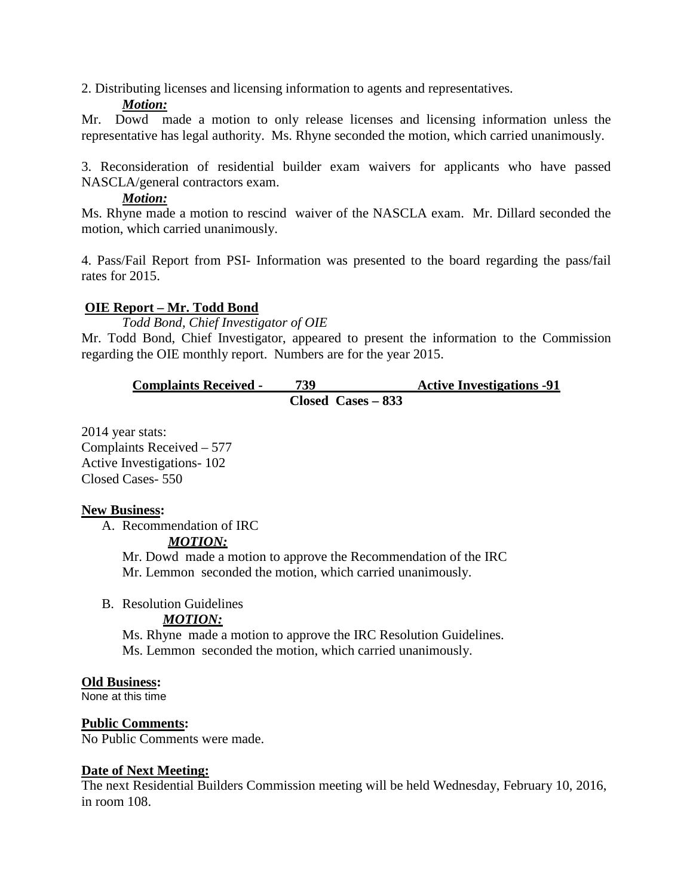2. Distributing licenses and licensing information to agents and representatives.

### *Motion:*

Mr. Dowd made a motion to only release licenses and licensing information unless the representative has legal authority. Ms. Rhyne seconded the motion, which carried unanimously.

3. Reconsideration of residential builder exam waivers for applicants who have passed NASCLA/general contractors exam.

### *Motion:*

Ms. Rhyne made a motion to rescind waiver of the NASCLA exam. Mr. Dillard seconded the motion, which carried unanimously.

4. Pass/Fail Report from PSI- Information was presented to the board regarding the pass/fail rates for 2015.

## **OIE Report – Mr. Todd Bond**

*Todd Bond, Chief Investigator of OIE*

Mr. Todd Bond, Chief Investigator, appeared to present the information to the Commission regarding the OIE monthly report. Numbers are for the year 2015.

**Complaints Received - 739 Active Investigations -91 Closed Cases – 833** 

2014 year stats: Complaints Received – 577 Active Investigations- 102 Closed Cases- 550

## **New Business:**

A. Recommendation of IRC

### *MOTION:*

Mr. Dowd made a motion to approve the Recommendation of the IRC Mr. Lemmon seconded the motion, which carried unanimously.

B. Resolution Guidelines

# *MOTION:*

Ms. Rhyne made a motion to approve the IRC Resolution Guidelines. Ms. Lemmon seconded the motion, which carried unanimously.

## **Old Business:**

None at this time

## **Public Comments:**

No Public Comments were made.

## **Date of Next Meeting:**

The next Residential Builders Commission meeting will be held Wednesday, February 10, 2016, in room 108.